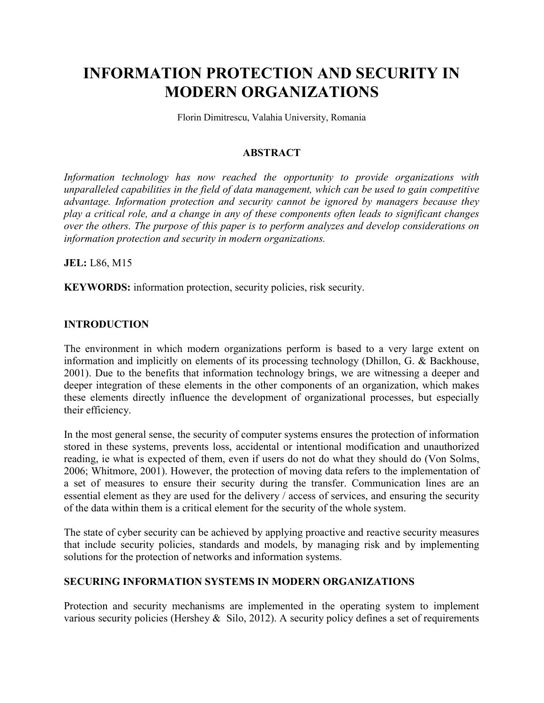# INFORMATION PROTECTION AND SECURITY IN MODERN ORGANIZATIONS

Florin Dimitrescu, Valahia University, Romania

#### ABSTRACT

Information technology has now reached the opportunity to provide organizations with unparalleled capabilities in the field of data management, which can be used to gain competitive advantage. Information protection and security cannot be ignored by managers because they play a critical role, and a change in any of these components often leads to significant changes over the others. The purpose of this paper is to perform analyzes and develop considerations on information protection and security in modern organizations.

JEL: L86, M15

KEYWORDS: information protection, security policies, risk security.

### INTRODUCTION

The environment in which modern organizations perform is based to a very large extent on information and implicitly on elements of its processing technology (Dhillon, G. & Backhouse, 2001). Due to the benefits that information technology brings, we are witnessing a deeper and deeper integration of these elements in the other components of an organization, which makes these elements directly influence the development of organizational processes, but especially their efficiency.

In the most general sense, the security of computer systems ensures the protection of information stored in these systems, prevents loss, accidental or intentional modification and unauthorized reading, ie what is expected of them, even if users do not do what they should do (Von Solms, 2006; Whitmore, 2001). However, the protection of moving data refers to the implementation of a set of measures to ensure their security during the transfer. Communication lines are an essential element as they are used for the delivery / access of services, and ensuring the security of the data within them is a critical element for the security of the whole system.

The state of cyber security can be achieved by applying proactive and reactive security measures that include security policies, standards and models, by managing risk and by implementing solutions for the protection of networks and information systems.

## SECURING INFORMATION SYSTEMS IN MODERN ORGANIZATIONS

Protection and security mechanisms are implemented in the operating system to implement various security policies (Hershey & Silo, 2012). A security policy defines a set of requirements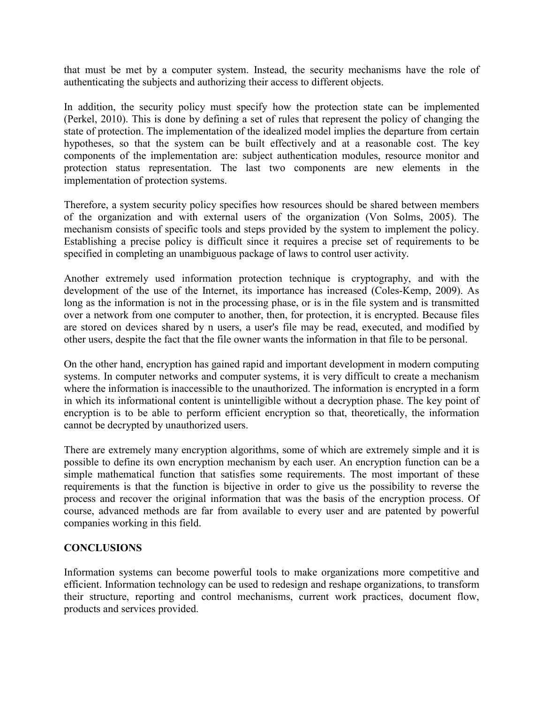that must be met by a computer system. Instead, the security mechanisms have the role of authenticating the subjects and authorizing their access to different objects.

In addition, the security policy must specify how the protection state can be implemented (Perkel, 2010). This is done by defining a set of rules that represent the policy of changing the state of protection. The implementation of the idealized model implies the departure from certain hypotheses, so that the system can be built effectively and at a reasonable cost. The key components of the implementation are: subject authentication modules, resource monitor and protection status representation. The last two components are new elements in the implementation of protection systems.

Therefore, a system security policy specifies how resources should be shared between members of the organization and with external users of the organization (Von Solms, 2005). The mechanism consists of specific tools and steps provided by the system to implement the policy. Establishing a precise policy is difficult since it requires a precise set of requirements to be specified in completing an unambiguous package of laws to control user activity.

Another extremely used information protection technique is cryptography, and with the development of the use of the Internet, its importance has increased (Coles-Kemp, 2009). As long as the information is not in the processing phase, or is in the file system and is transmitted over a network from one computer to another, then, for protection, it is encrypted. Because files are stored on devices shared by n users, a user's file may be read, executed, and modified by other users, despite the fact that the file owner wants the information in that file to be personal.

On the other hand, encryption has gained rapid and important development in modern computing systems. In computer networks and computer systems, it is very difficult to create a mechanism where the information is inaccessible to the unauthorized. The information is encrypted in a form in which its informational content is unintelligible without a decryption phase. The key point of encryption is to be able to perform efficient encryption so that, theoretically, the information cannot be decrypted by unauthorized users.

There are extremely many encryption algorithms, some of which are extremely simple and it is possible to define its own encryption mechanism by each user. An encryption function can be a simple mathematical function that satisfies some requirements. The most important of these requirements is that the function is bijective in order to give us the possibility to reverse the process and recover the original information that was the basis of the encryption process. Of course, advanced methods are far from available to every user and are patented by powerful companies working in this field.

## **CONCLUSIONS**

Information systems can become powerful tools to make organizations more competitive and efficient. Information technology can be used to redesign and reshape organizations, to transform their structure, reporting and control mechanisms, current work practices, document flow, products and services provided.